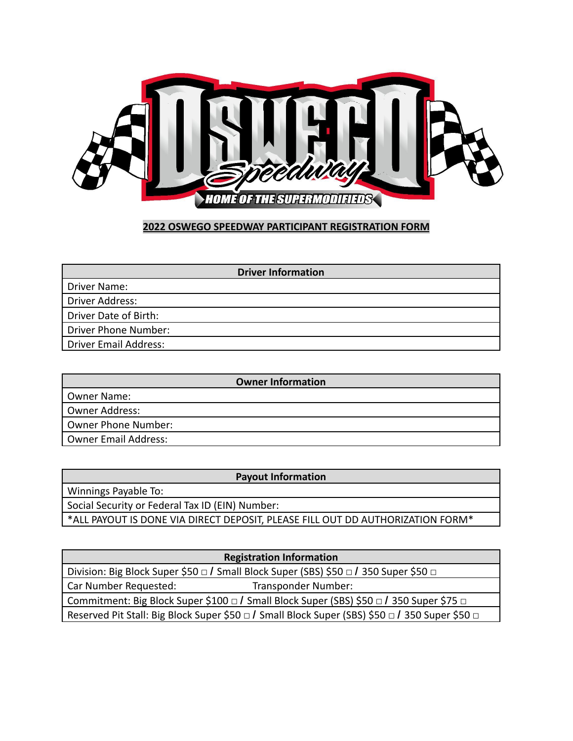

## **2022 OSWEGO SPEEDWAY PARTICIPANT REGISTRATION FORM**

| <b>Driver Information</b> |
|---------------------------|
| Driver Name:              |
| Driver Address:           |
| Driver Date of Birth:     |
| Driver Phone Number:      |
| Driver Email Address:     |

| <b>Owner Information</b> |  |  |
|--------------------------|--|--|
| Owner Name:              |  |  |
| Owner Address:           |  |  |
| Owner Phone Number:      |  |  |
| Owner Email Address:     |  |  |

| <b>Payout Information</b>                                                      |
|--------------------------------------------------------------------------------|
| Winnings Payable To:                                                           |
| Social Security or Federal Tax ID (EIN) Number:                                |
| *ALL PAYOUT IS DONE VIA DIRECT DEPOSIT, PLEASE FILL OUT DD AUTHORIZATION FORM* |
|                                                                                |

|                                                                                                | <b>Registration Information</b> |  |
|------------------------------------------------------------------------------------------------|---------------------------------|--|
| Division: Big Block Super \$50 □ / Small Block Super (SBS) \$50 □ / 350 Super \$50 □           |                                 |  |
| Car Number Requested:                                                                          | Transponder Number:             |  |
| Commitment: Big Block Super \$100 □ / Small Block Super (SBS) \$50 □ / 350 Super \$75 □        |                                 |  |
| Reserved Pit Stall: Big Block Super \$50 □ / Small Block Super (SBS) \$50 □ / 350 Super \$50 □ |                                 |  |